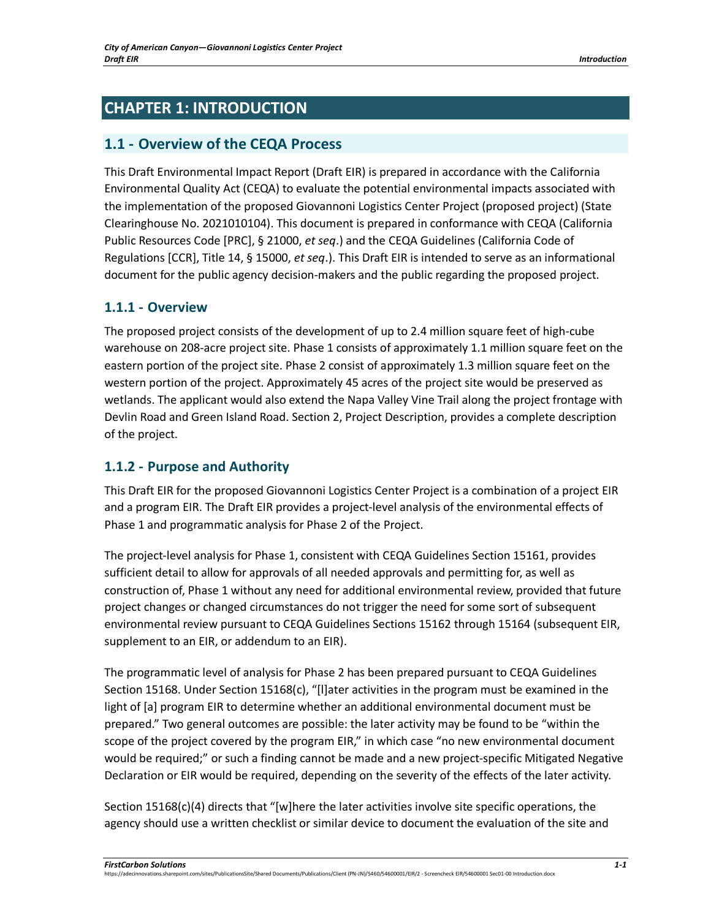# **CHAPTER 1: INTRODUCTION**

## **1.1 - Overview of the CEQA Process**

This Draft Environmental Impact Report (Draft EIR) is prepared in accordance with the California Environmental Quality Act (CEQA) to evaluate the potential environmental impacts associated with the implementation of the proposed Giovannoni Logistics Center Project (proposed project) (State Clearinghouse No. 2021010104). This document is prepared in conformance with CEQA (California Public Resources Code [PRC], § 21000, *et seq*.) and the CEQA Guidelines (California Code of Regulations [CCR], Title 14, § 15000, *et seq*.). This Draft EIR is intended to serve as an informational document for the public agency decision-makers and the public regarding the proposed project.

### **1.1.1 - Overview**

The proposed project consists of the development of up to 2.4 million square feet of high-cube warehouse on 208-acre project site. Phase 1 consists of approximately 1.1 million square feet on the eastern portion of the project site. Phase 2 consist of approximately 1.3 million square feet on the western portion of the project. Approximately 45 acres of the project site would be preserved as wetlands. The applicant would also extend the Napa Valley Vine Trail along the project frontage with Devlin Road and Green Island Road. Section 2, Project Description, provides a complete description of the project.

### **1.1.2 - Purpose and Authority**

This Draft EIR for the proposed Giovannoni Logistics Center Project is a combination of a project EIR and a program EIR. The Draft EIR provides a project-level analysis of the environmental effects of Phase 1 and programmatic analysis for Phase 2 of the Project.

The project-level analysis for Phase 1, consistent with CEQA Guidelines Section 15161, provides sufficient detail to allow for approvals of all needed approvals and permitting for, as well as construction of, Phase 1 without any need for additional environmental review, provided that future project changes or changed circumstances do not trigger the need for some sort of subsequent environmental review pursuant to CEQA Guidelines Sections 15162 through 15164 (subsequent EIR, supplement to an EIR, or addendum to an EIR).

The programmatic level of analysis for Phase 2 has been prepared pursuant to CEQA Guidelines Section 15168. Under Section 15168(c), "[l]ater activities in the program must be examined in the light of [a] program EIR to determine whether an additional environmental document must be prepared." Two general outcomes are possible: the later activity may be found to be "within the scope of the project covered by the program EIR," in which case "no new environmental document would be required;" or such a finding cannot be made and a new project-specific Mitigated Negative Declaration or EIR would be required, depending on the severity of the effects of the later activity.

Section 15168(c)(4) directs that "[w]here the later activities involve site specific operations, the agency should use a written checklist or similar device to document the evaluation of the site and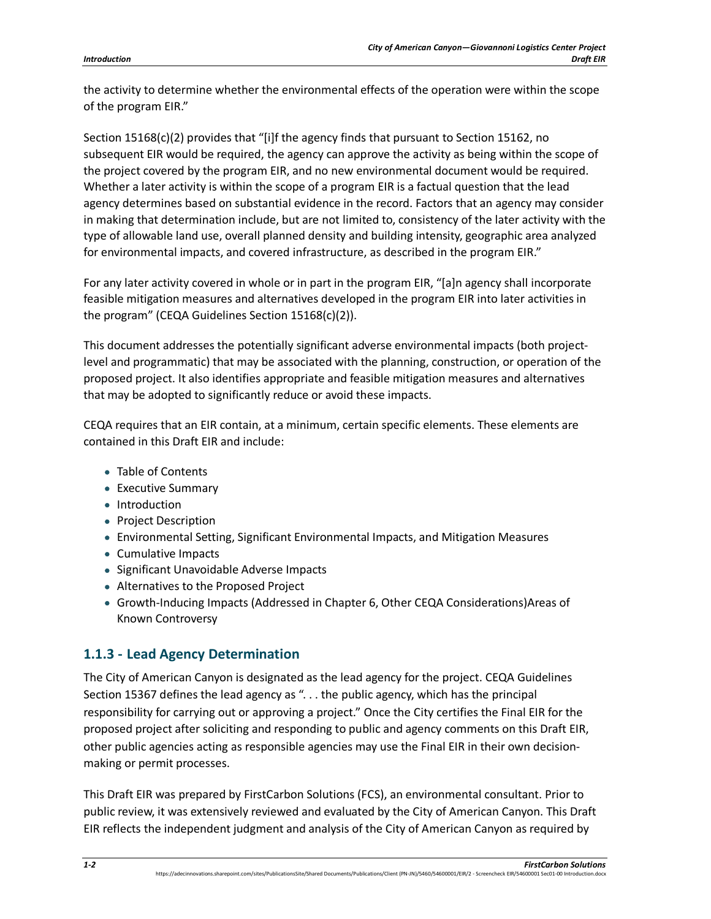the activity to determine whether the environmental effects of the operation were within the scope of the program EIR."

Section 15168(c)(2) provides that "[i]f the agency finds that pursuant to Section 15162, no subsequent EIR would be required, the agency can approve the activity as being within the scope of the project covered by the program EIR, and no new environmental document would be required. Whether a later activity is within the scope of a program EIR is a factual question that the lead agency determines based on substantial evidence in the record. Factors that an agency may consider in making that determination include, but are not limited to, consistency of the later activity with the type of allowable land use, overall planned density and building intensity, geographic area analyzed for environmental impacts, and covered infrastructure, as described in the program EIR."

For any later activity covered in whole or in part in the program EIR, "[a]n agency shall incorporate feasible mitigation measures and alternatives developed in the program EIR into later activities in the program" (CEQA Guidelines Section 15168(c)(2)).

This document addresses the potentially significant adverse environmental impacts (both projectlevel and programmatic) that may be associated with the planning, construction, or operation of the proposed project. It also identifies appropriate and feasible mitigation measures and alternatives that may be adopted to significantly reduce or avoid these impacts.

CEQA requires that an EIR contain, at a minimum, certain specific elements. These elements are contained in this Draft EIR and include:

- Table of Contents
- Executive Summary
- Introduction
- Project Description
- Environmental Setting, Significant Environmental Impacts, and Mitigation Measures
- Cumulative Impacts
- Significant Unavoidable Adverse Impacts
- Alternatives to the Proposed Project
- Growth-Inducing Impacts (Addressed in Chapter 6, Other CEQA Considerations)Areas of Known Controversy

### **1.1.3 - Lead Agency Determination**

The City of American Canyon is designated as the lead agency for the project. CEQA Guidelines Section 15367 defines the lead agency as ". . . the public agency, which has the principal responsibility for carrying out or approving a project." Once the City certifies the Final EIR for the proposed project after soliciting and responding to public and agency comments on this Draft EIR, other public agencies acting as responsible agencies may use the Final EIR in their own decisionmaking or permit processes.

This Draft EIR was prepared by FirstCarbon Solutions (FCS), an environmental consultant. Prior to public review, it was extensively reviewed and evaluated by the City of American Canyon. This Draft EIR reflects the independent judgment and analysis of the City of American Canyon as required by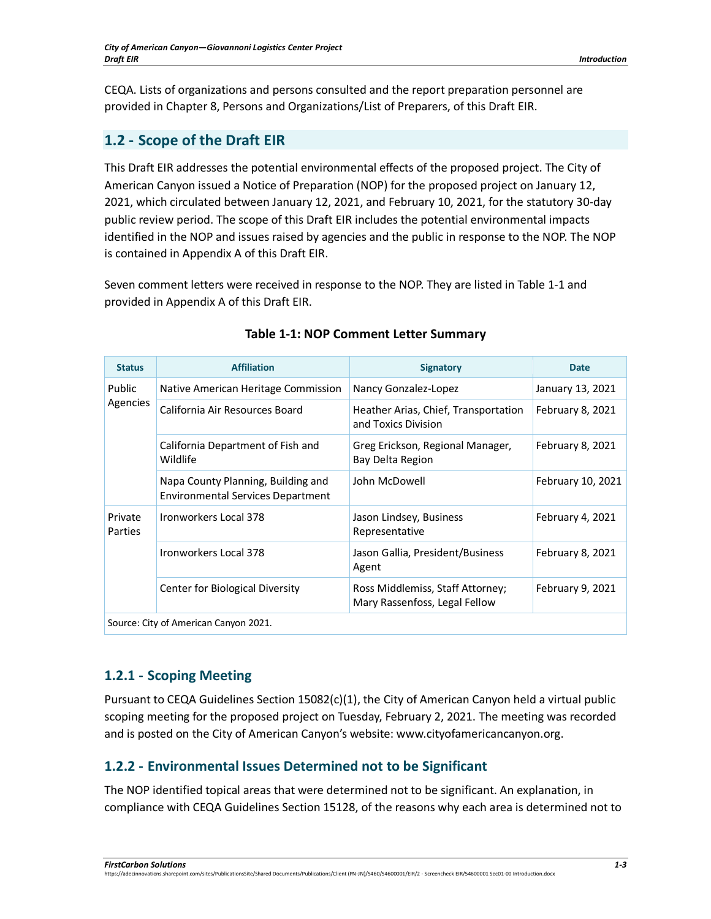CEQA. Lists of organizations and persons consulted and the report preparation personnel are provided in Chapter 8, Persons and Organizations/List of Preparers, of this Draft EIR.

# **1.2 - Scope of the Draft EIR**

This Draft EIR addresses the potential environmental effects of the proposed project. The City of American Canyon issued a Notice of Preparation (NOP) for the proposed project on January 12, 2021, which circulated between January 12, 2021, and February 10, 2021, for the statutory 30-day public review period. The scope of this Draft EIR includes the potential environmental impacts identified in the NOP and issues raised by agencies and the public in response to the NOP. The NOP is contained in Appendix A of this Draft EIR.

Seven comment letters were received in response to the NOP. They are listed in [Table 1-1](#page-2-0) and provided in Appendix A of this Draft EIR.

<span id="page-2-0"></span>

| <b>Status</b>                         | <b>Affiliation</b>                                                             | <b>Signatory</b>                                                  | <b>Date</b>       |
|---------------------------------------|--------------------------------------------------------------------------------|-------------------------------------------------------------------|-------------------|
| Public<br>Agencies                    | Native American Heritage Commission                                            | Nancy Gonzalez-Lopez                                              | January 13, 2021  |
|                                       | California Air Resources Board                                                 | Heather Arias, Chief, Transportation<br>and Toxics Division       | February 8, 2021  |
|                                       | California Department of Fish and<br>Wildlife                                  | Greg Erickson, Regional Manager,<br>Bay Delta Region              | February 8, 2021  |
|                                       | Napa County Planning, Building and<br><b>Environmental Services Department</b> | John McDowell                                                     | February 10, 2021 |
| Private<br><b>Parties</b>             | Ironworkers Local 378                                                          | Jason Lindsey, Business<br>Representative                         | February 4, 2021  |
|                                       | Ironworkers Local 378                                                          | Jason Gallia, President/Business<br>Agent                         | February 8, 2021  |
|                                       | Center for Biological Diversity                                                | Ross Middlemiss, Staff Attorney;<br>Mary Rassenfoss, Legal Fellow | February 9, 2021  |
| Source: City of American Canyon 2021. |                                                                                |                                                                   |                   |

#### **Table 1-1: NOP Comment Letter Summary**

# **1.2.1 - Scoping Meeting**

Pursuant to CEQA Guidelines Section 15082(c)(1), the City of American Canyon held a virtual public scoping meeting for the proposed project on Tuesday, February 2, 2021. The meeting was recorded and is posted on the City of American Canyon's website: www.cityofamericancanyon.org.

### **1.2.2 - Environmental Issues Determined not to be Significant**

The NOP identified topical areas that were determined not to be significant. An explanation, in compliance with CEQA Guidelines Section 15128, of the reasons why each area is determined not to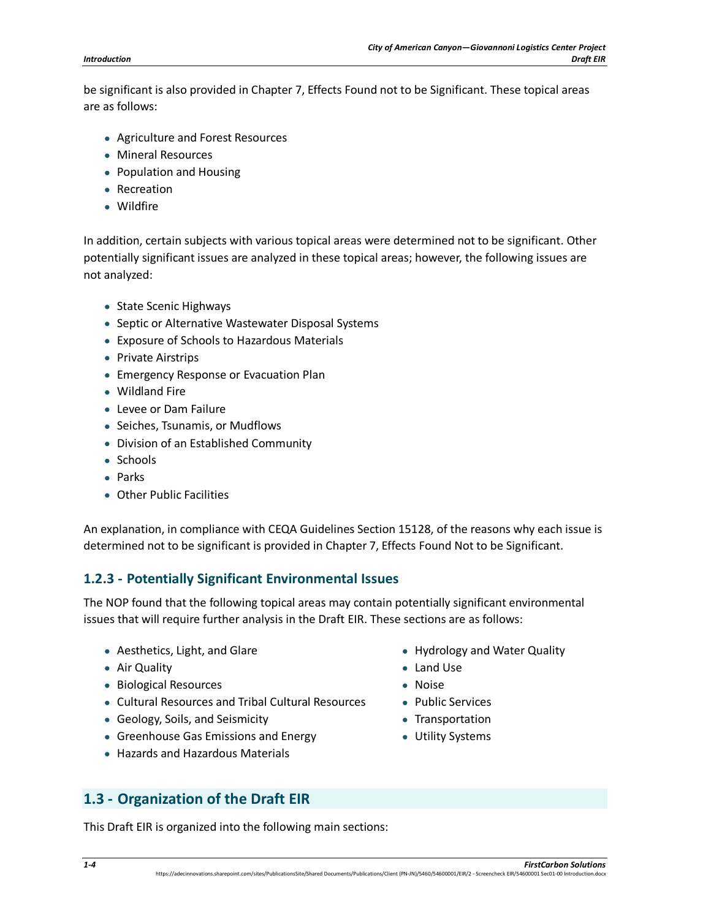be significant is also provided in Chapter 7, Effects Found not to be Significant. These topical areas are as follows:

- Agriculture and Forest Resources
- Mineral Resources
- Population and Housing
- Recreation
- Wildfire

In addition, certain subjects with various topical areas were determined not to be significant. Other potentially significant issues are analyzed in these topical areas; however, the following issues are not analyzed:

- State Scenic Highways
- Septic or Alternative Wastewater Disposal Systems
- Exposure of Schools to Hazardous Materials
- Private Airstrips
- Emergency Response or Evacuation Plan
- Wildland Fire
- Levee or Dam Failure
- Seiches, Tsunamis, or Mudflows
- Division of an Established Community
- Schools
- Parks
- Other Public Facilities

An explanation, in compliance with CEQA Guidelines Section 15128, of the reasons why each issue is determined not to be significant is provided in Chapter 7, Effects Found Not to be Significant.

### **1.2.3 - Potentially Significant Environmental Issues**

The NOP found that the following topical areas may contain potentially significant environmental issues that will require further analysis in the Draft EIR. These sections are as follows:

- Aesthetics, Light, and Glare
- Air Quality
- Biological Resources
- Cultural Resources and Tribal Cultural Resources
- Geology, Soils, and Seismicity
- Greenhouse Gas Emissions and Energy
- Hazards and Hazardous Materials
- Hydrology and Water Quality
- Land Use
- Noise
- Public Services
- Transportation
- Utility Systems

### **1.3 - Organization of the Draft EIR**

This Draft EIR is organized into the following main sections: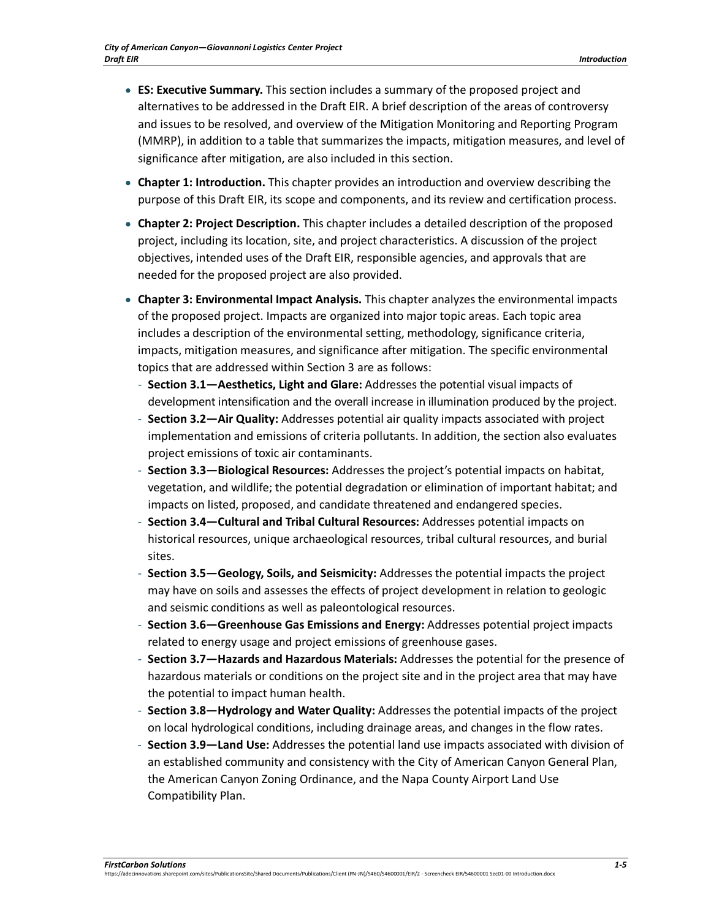- **ES: Executive Summary.** This section includes a summary of the proposed project and alternatives to be addressed in the Draft EIR. A brief description of the areas of controversy and issues to be resolved, and overview of the Mitigation Monitoring and Reporting Program (MMRP), in addition to a table that summarizes the impacts, mitigation measures, and level of significance after mitigation, are also included in this section.
- **Chapter 1: Introduction.** This chapter provides an introduction and overview describing the purpose of this Draft EIR, its scope and components, and its review and certification process.
- **Chapter 2: Project Description.** This chapter includes a detailed description of the proposed project, including its location, site, and project characteristics. A discussion of the project objectives, intended uses of the Draft EIR, responsible agencies, and approvals that are needed for the proposed project are also provided.
- **Chapter 3: Environmental Impact Analysis.** This chapter analyzes the environmental impacts of the proposed project. Impacts are organized into major topic areas. Each topic area includes a description of the environmental setting, methodology, significance criteria, impacts, mitigation measures, and significance after mitigation. The specific environmental topics that are addressed within Section 3 are as follows:
	- **Section 3.1—Aesthetics, Light and Glare:** Addresses the potential visual impacts of development intensification and the overall increase in illumination produced by the project.
	- **Section 3.2—Air Quality:** Addresses potential air quality impacts associated with project implementation and emissions of criteria pollutants. In addition, the section also evaluates project emissions of toxic air contaminants.
	- **Section 3.3—Biological Resources:** Addresses the project's potential impacts on habitat, vegetation, and wildlife; the potential degradation or elimination of important habitat; and impacts on listed, proposed, and candidate threatened and endangered species.
	- **Section 3.4—Cultural and Tribal Cultural Resources:** Addresses potential impacts on historical resources, unique archaeological resources, tribal cultural resources, and burial sites.
	- **Section 3.5—Geology, Soils, and Seismicity:** Addresses the potential impacts the project may have on soils and assesses the effects of project development in relation to geologic and seismic conditions as well as paleontological resources.
	- **Section 3.6—Greenhouse Gas Emissions and Energy:** Addresses potential project impacts related to energy usage and project emissions of greenhouse gases.
	- **Section 3.7—Hazards and Hazardous Materials:** Addresses the potential for the presence of hazardous materials or conditions on the project site and in the project area that may have the potential to impact human health.
	- **Section 3.8—Hydrology and Water Quality:** Addresses the potential impacts of the project on local hydrological conditions, including drainage areas, and changes in the flow rates.
	- **Section 3.9—Land Use:** Addresses the potential land use impacts associated with division of an established community and consistency with the City of American Canyon General Plan, the American Canyon Zoning Ordinance, and the Napa County Airport Land Use Compatibility Plan.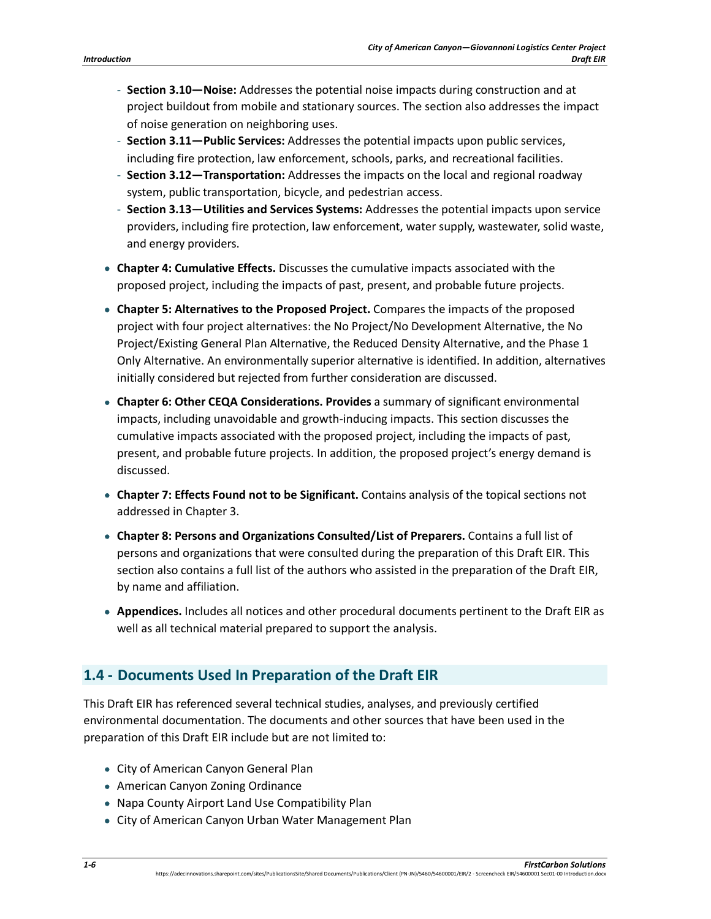- **Section 3.10—Noise:** Addresses the potential noise impacts during construction and at project buildout from mobile and stationary sources. The section also addresses the impact of noise generation on neighboring uses.
- **Section 3.11—Public Services:** Addresses the potential impacts upon public services, including fire protection, law enforcement, schools, parks, and recreational facilities.
- **Section 3.12—Transportation:** Addresses the impacts on the local and regional roadway system, public transportation, bicycle, and pedestrian access.
- **Section 3.13—Utilities and Services Systems:** Addresses the potential impacts upon service providers, including fire protection, law enforcement, water supply, wastewater, solid waste, and energy providers.
- **Chapter 4: Cumulative Effects.** Discusses the cumulative impacts associated with the proposed project, including the impacts of past, present, and probable future projects.
- **Chapter 5: Alternatives to the Proposed Project.** Compares the impacts of the proposed project with four project alternatives: the No Project/No Development Alternative, the No Project/Existing General Plan Alternative, the Reduced Density Alternative, and the Phase 1 Only Alternative. An environmentally superior alternative is identified. In addition, alternatives initially considered but rejected from further consideration are discussed.
- **Chapter 6: Other CEQA Considerations. Provides** a summary of significant environmental impacts, including unavoidable and growth-inducing impacts. This section discusses the cumulative impacts associated with the proposed project, including the impacts of past, present, and probable future projects. In addition, the proposed project's energy demand is discussed.
- **Chapter 7: Effects Found not to be Significant.** Contains analysis of the topical sections not addressed in Chapter 3.
- **Chapter 8: Persons and Organizations Consulted/List of Preparers.** Contains a full list of persons and organizations that were consulted during the preparation of this Draft EIR. This section also contains a full list of the authors who assisted in the preparation of the Draft EIR, by name and affiliation.
- **Appendices.** Includes all notices and other procedural documents pertinent to the Draft EIR as well as all technical material prepared to support the analysis.

## **1.4 - Documents Used In Preparation of the Draft EIR**

This Draft EIR has referenced several technical studies, analyses, and previously certified environmental documentation. The documents and other sources that have been used in the preparation of this Draft EIR include but are not limited to:

- City of American Canyon General Plan
- American Canyon Zoning Ordinance
- Napa County Airport Land Use Compatibility Plan
- City of American Canyon Urban Water Management Plan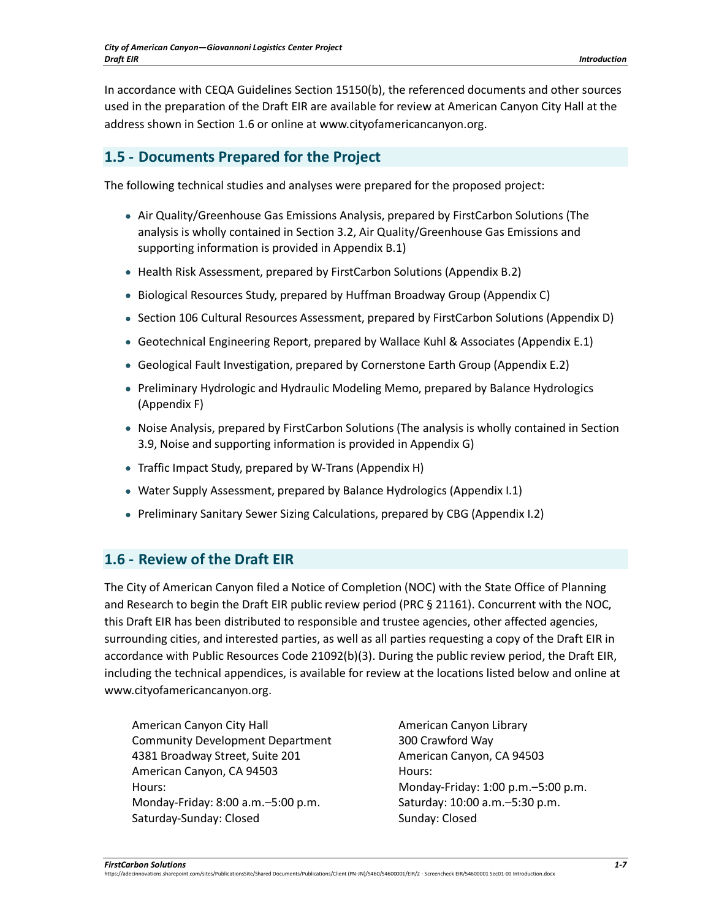In accordance with CEQA Guidelines Section 15150(b), the referenced documents and other sources used in the preparation of the Draft EIR are available for review at American Canyon City Hall at the address shown in Section 1.6 or online at www.cityofamericancanyon.org.

## **1.5 - Documents Prepared for the Project**

The following technical studies and analyses were prepared for the proposed project:

- Air Quality/Greenhouse Gas Emissions Analysis, prepared by FirstCarbon Solutions (The analysis is wholly contained in Section 3.2, Air Quality/Greenhouse Gas Emissions and supporting information is provided in Appendix B.1)
- Health Risk Assessment, prepared by FirstCarbon Solutions (Appendix B.2)
- Biological Resources Study, prepared by Huffman Broadway Group (Appendix C)
- Section 106 Cultural Resources Assessment, prepared by FirstCarbon Solutions (Appendix D)
- Geotechnical Engineering Report, prepared by Wallace Kuhl & Associates (Appendix E.1)
- Geological Fault Investigation, prepared by Cornerstone Earth Group (Appendix E.2)
- Preliminary Hydrologic and Hydraulic Modeling Memo, prepared by Balance Hydrologics (Appendix F)
- Noise Analysis, prepared by FirstCarbon Solutions (The analysis is wholly contained in Section 3.9, Noise and supporting information is provided in Appendix G)
- Traffic Impact Study, prepared by W-Trans (Appendix H)
- Water Supply Assessment, prepared by Balance Hydrologics (Appendix I.1)
- Preliminary Sanitary Sewer Sizing Calculations, prepared by CBG (Appendix I.2)

### **1.6 - Review of the Draft EIR**

The City of American Canyon filed a Notice of Completion (NOC) with the State Office of Planning and Research to begin the Draft EIR public review period (PRC § 21161). Concurrent with the NOC, this Draft EIR has been distributed to responsible and trustee agencies, other affected agencies, surrounding cities, and interested parties, as well as all parties requesting a copy of the Draft EIR in accordance with Public Resources Code 21092(b)(3). During the public review period, the Draft EIR, including the technical appendices, is available for review at the locations listed below and online at www.cityofamericancanyon.org.

American Canyon City Hall Community Development Department 4381 Broadway Street, Suite 201 American Canyon, CA 94503 Hours: Monday-Friday: 8:00 a.m.–5:00 p.m. Saturday-Sunday: Closed

American Canyon Library 300 Crawford Way American Canyon, CA 94503 Hours: Monday-Friday: 1:00 p.m.–5:00 p.m. Saturday: 10:00 a.m.–5:30 p.m. Sunday: Closed